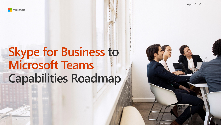

# **Skype for Business to Microsoft Teams Capabilities Roadmap**

April 23, 2018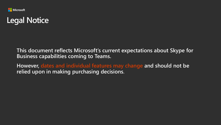

### **Legal Notice**

**This document reflects Microsoft's current expectations about Skype for Business capabilities coming to Teams.** 

**However, dates and individual features may change and should not be relied upon in making purchasing decisions.**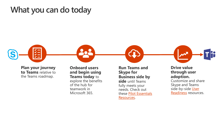#### **What you can do today**



**Plan your journey to Teams** relative to the Teams roadmap.

**Onboard users and begin using Teams today** to explore the benefits of the hub for teamwork in Microsoft 365.

**Run Teams and Skype for Business side by side** until Teams fully meets your needs. Check out [these Pilot Essentials](https://go.microsoft.com/fwlink/?linkid=859067) Resources.



#### **Drive value through user adoption.**

Customize and share Skype and Teams side-by-side User Readiness resources.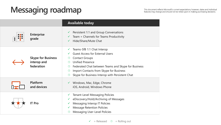## This document reflects Microsoft's current expectations; however, dates and individual features may change and should not be relied upon in making purchasing decisions.

|                                                        | <b>Available today</b>                                                                                                                                                                                                                                                                                                               |
|--------------------------------------------------------|--------------------------------------------------------------------------------------------------------------------------------------------------------------------------------------------------------------------------------------------------------------------------------------------------------------------------------------|
| <b>Enterprise</b><br>grade                             | Persistent 1:1 and Group Conversations<br>$\checkmark$<br>Team + Channels for Teams Productivity<br>$\checkmark$<br>Hide/Share/Mute Chat<br>$\checkmark$                                                                                                                                                                             |
| <b>Skype for Business</b><br>interop and<br>federation | Teams-SfB 1:1 Chat Interop<br>✓<br><b>Guest Access for External Users</b><br><b>Contact Groups</b><br>$\circledcirc$<br><b>Unified Presence</b><br>Federated Chat between Teams and Skype for Business<br>Import Contacts from Skype for Business<br>$\circledcirc$<br>Skype for Business Interop with Persistent Chat<br>$\bigcirc$ |
| <b>Platform</b><br>and devices                         | ✓ Windows, Mac, Edge, Chrome<br>iOS, Android, Windows Phone                                                                                                                                                                                                                                                                          |
| <b>IT Pro</b>                                          | <b>Tenant-Level Messaging Policies</b><br>V<br>eDiscovery/Hold/Archiving of Messages<br>$\checkmark$<br>Messaging Interop IT Policies<br>$\checkmark$<br><b>Message Retention Policies</b><br>$\checkmark$<br><b>Messaging User-Level Policies</b>                                                                                   |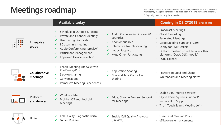## **Meetings roadmap**

This document reflects Microsoft's current expectations; however, dates and individual

\* Capability has third party dependencies

|          |                                | <b>Available today</b>                                                                                                                                                                                               |                                                                                                                                                                                                   | <b>Coming in Q2 CY2018</b> (end of qtr)                                                                                                                                                                                     |  |
|----------|--------------------------------|----------------------------------------------------------------------------------------------------------------------------------------------------------------------------------------------------------------------|---------------------------------------------------------------------------------------------------------------------------------------------------------------------------------------------------|-----------------------------------------------------------------------------------------------------------------------------------------------------------------------------------------------------------------------------|--|
| <b>.</b> | <b>Enterprise</b><br>grade     | Schedule in Outlook & Teams<br>Private and Channel Meetings<br><b>User Facing Diagnostics</b><br>80 users in a meeting<br>Audio Conferencing (preview)<br>Participant Management<br><b>Improved Device Selection</b> | Audio Conferencing in over 90<br>$\checkmark$<br>countries<br>Anonymous Join<br>$\checkmark$<br>Interactive Troubleshooting<br>✓<br>Lobby Support<br>✓<br>Mute Other Participants<br>$\checkmark$ | • Broadcast Meetings<br>• Cloud Recording<br>• Federated Meetings<br>• Large Meeting Support (~250)<br>• Lobby for PSTN callers<br>• Outlook meeting schedule from other<br>platforms (OWA, OLK, mobile)<br>• PSTN Fallback |  |
|          | Collaborative<br>meetings      | Enable Meeting Lifecycle with<br>Pre/During/Post<br>Desktop sharing<br>Conversations<br><b>Immersive Meeting Experiences</b>                                                                                         | <b>Application Sharing</b><br>$\checkmark$<br>Give and Take Control in<br>sharing                                                                                                                 | • PowerPoint Load and Share<br>• Whiteboard and Meeting Notes                                                                                                                                                               |  |
|          | <b>Platform</b><br>and devices | Windows, Mac<br>Mobile: iOS and Android<br><b>Meetings</b>                                                                                                                                                           | Edge, Chrome Browser Support<br>✓<br>for meetings                                                                                                                                                 | • Enable VTC Interop Services*<br>• Skype Room Systems Support*<br>• Surface Hub Support<br>• Trio 1 Touch Teams Meeting Join*                                                                                              |  |
|          | <b>IT Pro</b>                  | <b>Call Quality Diagnostic Portal</b><br><b>Tenant Policies</b>                                                                                                                                                      | <b>Enable Call Quality Analytics</b><br>$\checkmark$<br>(Preview)                                                                                                                                 | • User-Level Meeting Policy<br>• eDiscovery enhancements                                                                                                                                                                    |  |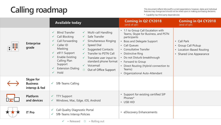# **Calling roadmap**

This document reflects Microsoft's current expectations; however, dates and individual features may change and should not be relied upon in making purchasing decisions.

\* Capability has third party dependencies

|                                               | <b>Available today</b>                                                                                                                                                                                                                                                                                                                                                                                                                                                                                                                                                                                 | <b>Coming in Q2 CY2018</b><br>(end of qtr)                                                                                                                                                                                                                                                                                                | <b>Coming in Q4 CY2018</b><br>(end of qtr)                                                                      |
|-----------------------------------------------|--------------------------------------------------------------------------------------------------------------------------------------------------------------------------------------------------------------------------------------------------------------------------------------------------------------------------------------------------------------------------------------------------------------------------------------------------------------------------------------------------------------------------------------------------------------------------------------------------------|-------------------------------------------------------------------------------------------------------------------------------------------------------------------------------------------------------------------------------------------------------------------------------------------------------------------------------------------|-----------------------------------------------------------------------------------------------------------------|
| <b>Enterprise</b><br>grade                    | Multi-call Handling<br><b>Blind Transfer</b><br>$\checkmark$<br>$\checkmark$<br><b>Call Blocking</b><br>Safe Transfer<br>$\checkmark$<br>$\checkmark$<br>Call Forwarding<br>Simultaneous Ringing<br>$\checkmark$<br>Caller ID<br><b>Speed Dial</b><br>$\checkmark$<br>Masking<br><b>Suggested Contacts</b><br>$\checkmark$<br>e911 Support<br>$\checkmark$<br>Transfer to PSTN Call<br>$\checkmark$<br><b>Enable Existing</b><br>Translate user input to<br>Calling Plan<br>standard phone format<br>Support<br>Voicemail<br><b>Extension Dialing</b><br>Out of Office Support<br>$\mathbb{C}$<br>Hold | • 1:1 to Group Call Escalation with<br>Teams, Skype for Business, and PSTN<br>participants<br>• Boss and Delegate Support<br>• Call Queues<br>• Consultative Transfer<br>• Distinctive Ring<br>• Do not Disturb breakthrough<br>• Forward to Group<br>• Direct Routing (Hybrid connection to<br>Teams)<br>• Organizational Auto-Attendant | • Call Park<br><b>Group Call Pickup</b><br>$\bullet$<br>Location-Based Routing<br><b>Shared Line Appearance</b> |
| Skype for<br><b>Business</b><br>interop & fed | <b>SfB-Teams Calling</b><br>$\checkmark$                                                                                                                                                                                                                                                                                                                                                                                                                                                                                                                                                               |                                                                                                                                                                                                                                                                                                                                           |                                                                                                                 |
| Platform<br>and devices                       | <b>TTY Support</b><br>Windows, Mac, Edge, iOS, Android<br>$\checkmark$                                                                                                                                                                                                                                                                                                                                                                                                                                                                                                                                 | • Support for existing certified SIP<br>Phones*<br>• USB HID                                                                                                                                                                                                                                                                              |                                                                                                                 |
| <b>IT Pro</b>                                 | <b>Call Quality Diagnostic Portal</b><br>V<br><b>SfB-Teams Interop Policies</b>                                                                                                                                                                                                                                                                                                                                                                                                                                                                                                                        | eDiscovery Enhancements<br>$\bullet$                                                                                                                                                                                                                                                                                                      |                                                                                                                 |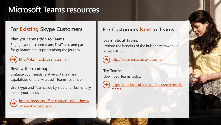### **Microsoft Teams resources**

#### **For Existing Skype Customers**

**Plan your transition to Teams**  Engage your account team, FastTrack, and partners for guidance and support along the journey.



<http://aka.ms/skypeandteams>

#### **Review the roadmap**

Evaluate your needs relative to timing and capabilities on the Microsoft Teams roadmap.

Use Skype and Teams side by side until Teams fully meets your needs.

[https://products.office.com/en-US/business/](https://products.office.com/en-US/business/office-365-roadmap) office-365-roadmap

#### **For Customers New to Teams**

#### **Learn about Teams**

Explore the benefits of the hub for teamwork in Microsoft 365.



<http://aka.ms/successwithteams>

**Try Teams**  Download Teams today.



[https://products.office.com/en-us/microsoft](https://products.office.com/en-us/microsoft-teams)teams